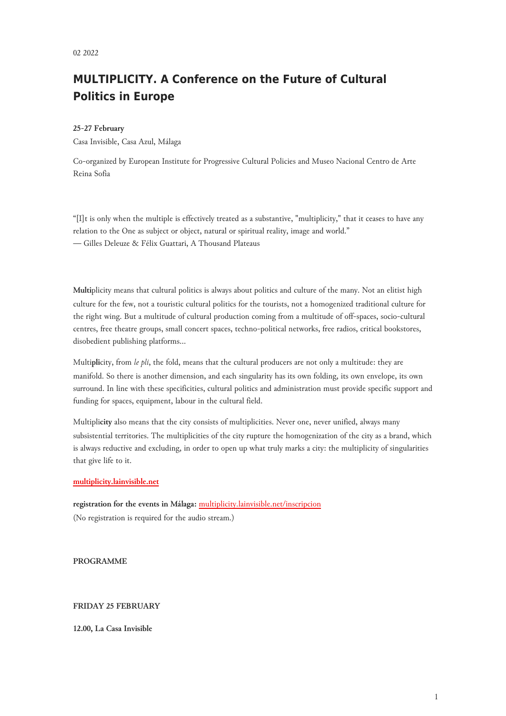# **MULTIPLICITY. A Conference on the Future of Cultural Politics in Europe**

#### **25-27 February**

Casa Invisible, Casa Azul, Málaga

Co-organized by European Institute for Progressive Cultural Policies and Museo Nacional Centro de Arte Reina Sofia

"[I]t is only when the multiple is effectively treated as a substantive, "multiplicity," that it ceases to have any relation to the One as subject or object, natural or spiritual reality, image and world." — Gilles Deleuze & Félix Guattari, A Thousand Plateaus

**Multi**plicity means that cultural politics is always about politics and culture of the many. Not an elitist high culture for the few, not a touristic cultural politics for the tourists, not a homogenized traditional culture for the right wing. But a multitude of cultural production coming from a multitude of off-spaces, socio-cultural centres, free theatre groups, small concert spaces, techno-political networks, free radios, critical bookstores, disobedient publishing platforms…

Multi**pli**city, from *le pli*, the fold, means that the cultural producers are not only a multitude: they are manifold. So there is another dimension, and each singularity has its own folding, its own envelope, its own surround. In line with these specificities, cultural politics and administration must provide specific support and funding for spaces, equipment, labour in the cultural field.

Multipli**city** also means that the city consists of multiplicities. Never one, never unified, always many subsistential territories. The multiplicities of the city rupture the homogenization of the city as a brand, which is always reductive and excluding, in order to open up what truly marks a city: the multiplicity of singularities that give life to it.

#### **[multiplicity.lainvisible.net](http://multiplicity.lainvisible.net)**

**registration for the events in Málaga:** [multiplicity.lainvisible.net/inscripcion](https://multiplicity.lainvisible.net/inscripcion) (No registration is required for the audio stream.)

**PROGRAMME**

#### **FRIDAY 25 FEBRUARY**

**12.00, La Casa Invisible**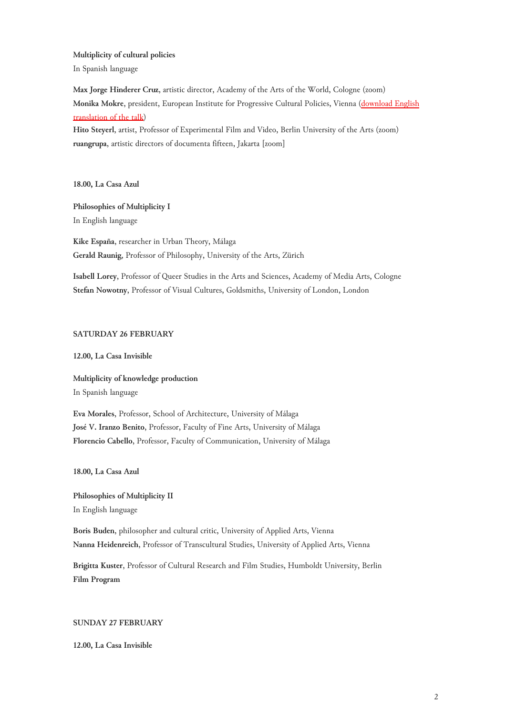**Multiplicity of cultural policies**

In Spanish language

**Max Jorge Hinderer Cruz**, artistic director, Academy of the Arts of the World, Cologne (zoom) **Monika Mokre**, president, European Institute for Progressive Cultural Policies, Vienna (download English translation of the talk)

**Hito Steyerl**, artist, Professor of Experimental Film and Video, Berlin University of the Arts (zoom) **ruangrupa**, artistic directors of documenta fifteen, Jakarta [zoom]

**18.00, La Casa Azul**

## **Philosophies of Multiplicity I** In English language

**Kike España**, researcher in Urban Theory, Málaga **Gerald Raunig**, Professor of Philosophy, University of the Arts, Zürich

**Isabell Lorey**, Professor of Queer Studies in the Arts and Sciences, Academy of Media Arts, Cologne **Stefan Nowotny**, Professor of Visual Cultures, Goldsmiths, University of London, London

## **SATURDAY 26 FEBRUARY**

## **12.00, La Casa Invisible**

## **Multiplicity of knowledge production**

In Spanish language

**Eva Morales**, Professor, School of Architecture, University of Málaga **José V. Iranzo Benito**, Professor, Faculty of Fine Arts, University of Málaga **Florencio Cabello**, Professor, Faculty of Communication, University of Málaga

**18.00, La Casa Azul**

**Philosophies of Multiplicity II** In English language

**Boris Buden**, philosopher and cultural critic, University of Applied Arts, Vienna **Nanna Heidenreich**, Professor of Transcultural Studies, University of Applied Arts, Vienna

**Brigitta Kuster**, Professor of Cultural Research and Film Studies, Humboldt University, Berlin **Film Program**

## **SUNDAY 27 FEBRUARY**

**12.00, La Casa Invisible**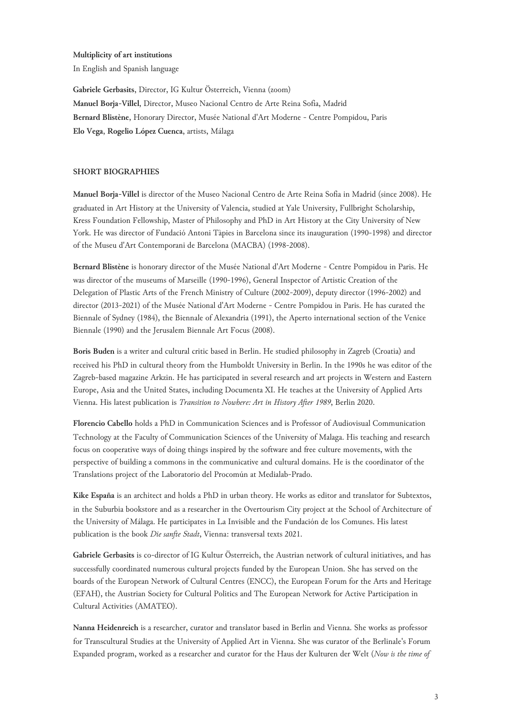#### **Multiplicity of art institutions**

In English and Spanish language

**Gabriele Gerbasits**, Director, IG Kultur Österreich, Vienna (zoom) **Manuel Borja-Villel**, Director, Museo Nacional Centro de Arte Reina Sofía, Madrid **Bernard Blistène**, Honorary Director, Musée National d'Art Moderne - Centre Pompidou, Paris **Elo Vega**, **Rogelio López Cuenca**, artists, Málaga

### **SHORT BIOGRAPHIES**

**Manuel Borja-Villel** is director of the Museo Nacional Centro de Arte Reina Sofía in Madrid (since 2008). He graduated in Art History at the University of Valencia, studied at Yale University, Fullbright Scholarship, Kress Foundation Fellowship, Master of Philosophy and PhD in Art History at the City University of New York. He was director of Fundació Antoni Tàpies in Barcelona since its inauguration (1990-1998) and director of the Museu d'Art Contemporani de Barcelona (MACBA) (1998-2008).

**Bernard Blistène** is honorary director of the Musée National d'Art Moderne - Centre Pompidou in Paris. He was director of the museums of Marseille (1990-1996), General Inspector of Artistic Creation of the Delegation of Plastic Arts of the French Ministry of Culture (2002-2009), deputy director (1996-2002) and director (2013-2021) of the Musée National d'Art Moderne - Centre Pompidou in Paris. He has curated the Biennale of Sydney (1984), the Biennale of Alexandria (1991), the Aperto international section of the Venice Biennale (1990) and the Jerusalem Biennale Art Focus (2008).

**Boris Buden** is a writer and cultural critic based in Berlin. He studied philosophy in Zagreb (Croatia) and received his PhD in cultural theory from the Humboldt University in Berlin. In the 1990s he was editor of the Zagreb-based magazine Arkzin. He has participated in several research and art projects in Western and Eastern Europe, Asia and the United States, including Documenta XI. He teaches at the University of Applied Arts Vienna. His latest publication is *Transition to Nowhere: Art in History After 1989*, Berlin 2020.

**Florencio Cabello** holds a PhD in Communication Sciences and is Professor of Audiovisual Communication Technology at the Faculty of Communication Sciences of the University of Malaga. His teaching and research focus on cooperative ways of doing things inspired by the software and free culture movements, with the perspective of building a commons in the communicative and cultural domains. He is the coordinator of the Translations project of the Laboratorio del Procomún at Medialab-Prado.

**Kike España** is an architect and holds a PhD in urban theory. He works as editor and translator for Subtextos, in the Suburbia bookstore and as a researcher in the Overtourism City project at the School of Architecture of the University of Málaga. He participates in La Invisible and the Fundación de los Comunes. His latest publication is the book *Die sanfte Stadt*, Vienna: transversal texts 2021.

**Gabriele Gerbasits** is co-director of IG Kultur Österreich, the Austrian network of cultural initiatives, and has successfully coordinated numerous cultural projects funded by the European Union. She has served on the boards of the European Network of Cultural Centres (ENCC), the European Forum for the Arts and Heritage (EFAH), the Austrian Society for Cultural Politics and The European Network for Active Participation in Cultural Activities (AMATEO).

**Nanna Heidenreich** is a researcher, curator and translator based in Berlin and Vienna. She works as professor for Transcultural Studies at the University of Applied Art in Vienna. She was curator of the Berlinale's Forum Expanded program, worked as a researcher and curator for the Haus der Kulturen der Welt (*Now is the time of*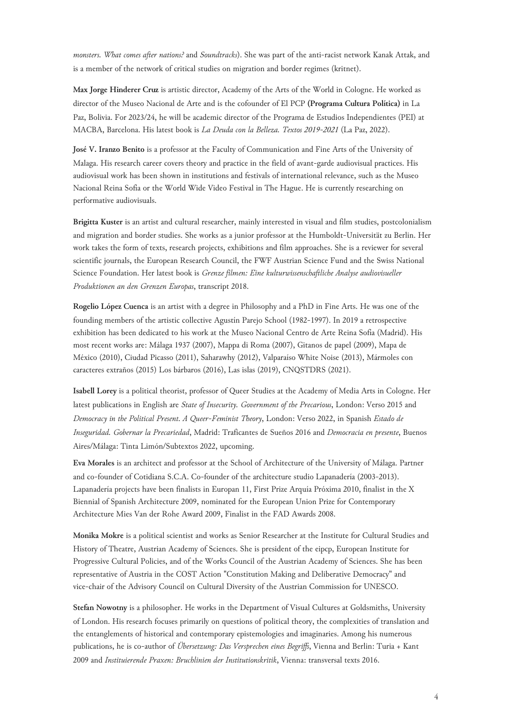*monsters. What comes after nations?* and *Soundtracks*). She was part of the anti-racist network Kanak Attak, and is a member of the network of critical studies on migration and border regimes (kritnet).

**Max Jorge Hinderer Cruz** is artistic director, Academy of the Arts of the World in Cologne. He worked as director of the Museo Nacional de Arte and is the cofounder of El PCP **(Programa Cultura Política)** in La Paz, Bolivia. For 2023/24, he will be academic director of the Programa de Estudios Independientes (PEI) at MACBA, Barcelona. His latest book is *La Deuda con la Belleza. Textos 2019-2021* (La Paz, 2022).

**José V. Iranzo Benito** is a professor at the Faculty of Communication and Fine Arts of the University of Malaga. His research career covers theory and practice in the field of avant-garde audiovisual practices. His audiovisual work has been shown in institutions and festivals of international relevance, such as the Museo Nacional Reina Sofía or the World Wide Video Festival in The Hague. He is currently researching on performative audiovisuals.

**Brigitta Kuster** is an artist and cultural researcher, mainly interested in visual and film studies, postcolonialism and migration and border studies. She works as a junior professor at the Humboldt-Universität zu Berlin. Her work takes the form of texts, research projects, exhibitions and film approaches. She is a reviewer for several scientific journals, the European Research Council, the FWF Austrian Science Fund and the Swiss National Science Foundation. Her latest book is *Grenze filmen: Eine kulturwissenschaftliche Analyse audiovisueller Produktionen an den Grenzen Europas*, transcript 2018.

**Rogelio López Cuenca** is an artist with a degree in Philosophy and a PhD in Fine Arts. He was one of the founding members of the artistic collective Agustín Parejo School (1982-1997). In 2019 a retrospective exhibition has been dedicated to his work at the Museo Nacional Centro de Arte Reina Sofía (Madrid). His most recent works are: Málaga 1937 (2007), Mappa di Roma (2007), Gitanos de papel (2009), Mapa de México (2010), Ciudad Picasso (2011), Saharawhy (2012), Valparaíso White Noise (2013), Mármoles con caracteres extraños (2015) Los bárbaros (2016), Las islas (2019), CNQSTDRS (2021).

**Isabell Lorey** is a political theorist, professor of Queer Studies at the Academy of Media Arts in Cologne. Her latest publications in English are *State of Insecurity. Government of the Precarious*, London: Verso 2015 and *Democracy in the Political Present. A Queer-Feminist Theory*, London: Verso 2022, in Spanish *Estado de Inseguridad. Gobernar la Precariedad*, Madrid: Traficantes de Sueños 2016 and *Democracia en presente*, Buenos Aires/Málaga: Tinta Limón/Subtextos 2022, upcoming.

**Eva Morales** is an architect and professor at the School of Architecture of the University of Málaga. Partner and co-founder of Cotidiana S.C.A. Co-founder of the architecture studio Lapanadería (2003-2013). Lapanadería projects have been finalists in Europan 11, First Prize Arquía Próxima 2010, finalist in the X Biennial of Spanish Architecture 2009, nominated for the European Union Prize for Contemporary Architecture Mies Van der Rohe Award 2009, Finalist in the FAD Awards 2008.

**Monika Mokre** is a political scientist and works as Senior Researcher at the Institute for Cultural Studies and History of Theatre, Austrian Academy of Sciences. She is president of the eipcp, European Institute for Progressive Cultural Policies, and of the Works Council of the Austrian Academy of Sciences. She has been representative of Austria in the COST Action "Constitution Making and Deliberative Democracy" and vice-chair of the Advisory Council on Cultural Diversity of the Austrian Commission for UNESCO.

**Stefan Nowotny** is a philosopher. He works in the Department of Visual Cultures at Goldsmiths, University of London. His research focuses primarily on questions of political theory, the complexities of translation and the entanglements of historical and contemporary epistemologies and imaginaries. Among his numerous publications, he is co-author of *Übersetzung: Das Versprechen eines Begriffs*, Vienna and Berlin: Turia + Kant 2009 and *Instituierende Praxen: Bruchlinien der Institutionskritik*, Vienna: transversal texts 2016.